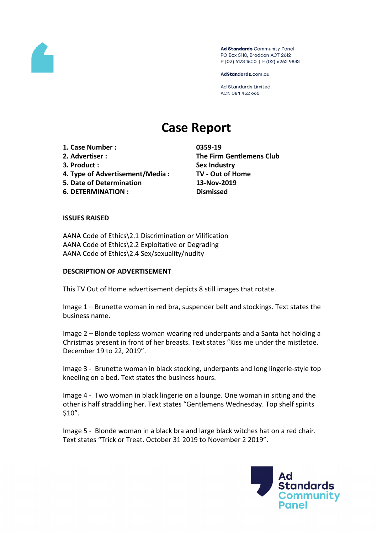

Ad Standards Community Panel PO Box 5110, Braddon ACT 2612 P (02) 6173 1500 | F (02) 6262 9833

AdStandards.com.au

Ad Standards Limited ACN 084 452 666

# **Case Report**

**1. Case Number : 0359-19 2. Advertiser : The Firm Gentlemens Club 3. Product : Sex Industry 4. Type of Advertisement/Media : TV - Out of Home 5. Date of Determination 13-Nov-2019 6. DETERMINATION : Dismissed**

#### **ISSUES RAISED**

AANA Code of Ethics\2.1 Discrimination or Vilification AANA Code of Ethics\2.2 Exploitative or Degrading AANA Code of Ethics\2.4 Sex/sexuality/nudity

#### **DESCRIPTION OF ADVERTISEMENT**

This TV Out of Home advertisement depicts 8 still images that rotate.

Image 1 – Brunette woman in red bra, suspender belt and stockings. Text states the business name.

Image 2 – Blonde topless woman wearing red underpants and a Santa hat holding a Christmas present in front of her breasts. Text states "Kiss me under the mistletoe. December 19 to 22, 2019".

Image 3 - Brunette woman in black stocking, underpants and long lingerie-style top kneeling on a bed. Text states the business hours.

Image 4 - Two woman in black lingerie on a lounge. One woman in sitting and the other is half straddling her. Text states "Gentlemens Wednesday. Top shelf spirits \$10".

Image 5 - Blonde woman in a black bra and large black witches hat on a red chair. Text states "Trick or Treat. October 31 2019 to November 2 2019".

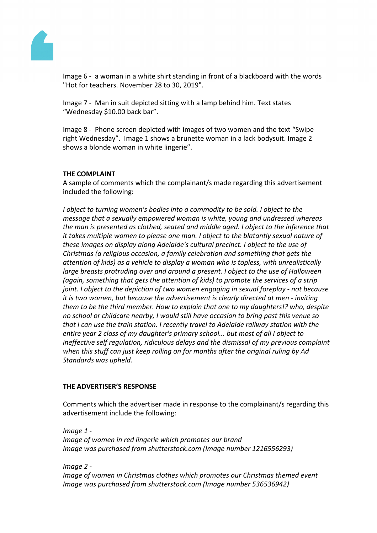

Image 6 - a woman in a white shirt standing in front of a blackboard with the words "Hot for teachers. November 28 to 30, 2019".

Image 7 - Man in suit depicted sitting with a lamp behind him. Text states "Wednesday \$10.00 back bar".

Image 8 - Phone screen depicted with images of two women and the text "Swipe right Wednesday". Image 1 shows a brunette woman in a lack bodysuit. Image 2 shows a blonde woman in white lingerie".

## **THE COMPLAINT**

A sample of comments which the complainant/s made regarding this advertisement included the following:

*I object to turning women's bodies into a commodity to be sold. I object to the message that a sexually empowered woman is white, young and undressed whereas the man is presented as clothed, seated and middle aged. I object to the inference that it takes multiple women to please one man. I object to the blatantly sexual nature of these images on display along Adelaide's cultural precinct. I object to the use of Christmas (a religious occasion, a family celebration and something that gets the attention of kids) as a vehicle to display a woman who is topless, with unrealistically large breasts protruding over and around a present. I object to the use of Halloween (again, something that gets the attention of kids) to promote the services of a strip joint. I object to the depiction of two women engaging in sexual foreplay - not because it is two women, but because the advertisement is clearly directed at men - inviting them to be the third member. How to explain that one to my daughters!? who, despite no school or childcare nearby, I would still have occasion to bring past this venue so that I can use the train station. I recently travel to Adelaide railway station with the entire year 2 class of my daughter's primary school... but most of all I object to ineffective self regulation, ridiculous delays and the dismissal of my previous complaint when this stuff can just keep rolling on for months after the original ruling by Ad Standards was upheld.*

### **THE ADVERTISER'S RESPONSE**

Comments which the advertiser made in response to the complainant/s regarding this advertisement include the following:

*Image 1 - Image of women in red lingerie which promotes our brand Image was purchased from shutterstock.com (Image number 1216556293)*

*Image 2 - Image of women in Christmas clothes which promotes our Christmas themed event Image was purchased from shutterstock.com (Image number 536536942)*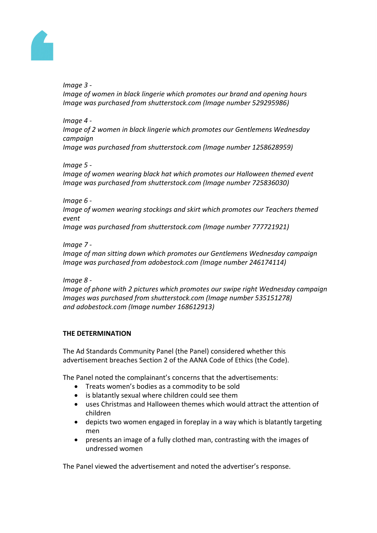

*Image 3 -* 

*Image of women in black lingerie which promotes our brand and opening hours Image was purchased from shutterstock.com (Image number 529295986)*

*Image 4 - Image of 2 women in black lingerie which promotes our Gentlemens Wednesday campaign Image was purchased from shutterstock.com (Image number 1258628959)*

*Image 5 -* 

*Image of women wearing black hat which promotes our Halloween themed event Image was purchased from shutterstock.com (Image number 725836030)*

*Image 6 -* 

*Image of women wearing stockings and skirt which promotes our Teachers themed event*

*Image was purchased from shutterstock.com (Image number 777721921)*

*Image 7 -* 

*Image of man sitting down which promotes our Gentlemens Wednesday campaign Image was purchased from adobestock.com (Image number 246174114)*

*Image 8 -* 

*Image of phone with 2 pictures which promotes our swipe right Wednesday campaign Images was purchased from shutterstock.com (Image number 535151278) and adobestock.com (Image number 168612913)*

## **THE DETERMINATION**

The Ad Standards Community Panel (the Panel) considered whether this advertisement breaches Section 2 of the AANA Code of Ethics (the Code).

The Panel noted the complainant's concerns that the advertisements:

- Treats women's bodies as a commodity to be sold
- is blatantly sexual where children could see them
- uses Christmas and Halloween themes which would attract the attention of children
- depicts two women engaged in foreplay in a way which is blatantly targeting men
- presents an image of a fully clothed man, contrasting with the images of undressed women

The Panel viewed the advertisement and noted the advertiser's response.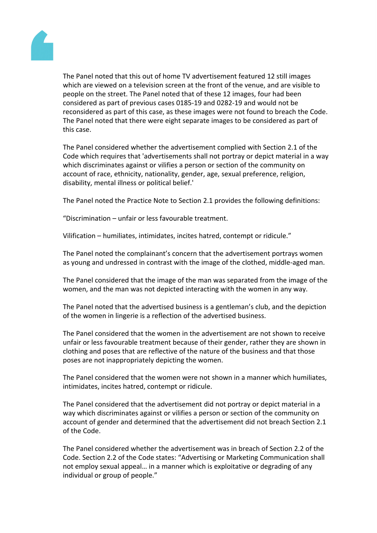

The Panel noted that this out of home TV advertisement featured 12 still images which are viewed on a television screen at the front of the venue, and are visible to people on the street. The Panel noted that of these 12 images, four had been considered as part of previous cases 0185-19 and 0282-19 and would not be reconsidered as part of this case, as these images were not found to breach the Code. The Panel noted that there were eight separate images to be considered as part of this case.

The Panel considered whether the advertisement complied with Section 2.1 of the Code which requires that 'advertisements shall not portray or depict material in a way which discriminates against or vilifies a person or section of the community on account of race, ethnicity, nationality, gender, age, sexual preference, religion, disability, mental illness or political belief.'

The Panel noted the Practice Note to Section 2.1 provides the following definitions:

"Discrimination – unfair or less favourable treatment.

Vilification – humiliates, intimidates, incites hatred, contempt or ridicule."

The Panel noted the complainant's concern that the advertisement portrays women as young and undressed in contrast with the image of the clothed, middle-aged man.

The Panel considered that the image of the man was separated from the image of the women, and the man was not depicted interacting with the women in any way.

The Panel noted that the advertised business is a gentleman's club, and the depiction of the women in lingerie is a reflection of the advertised business.

The Panel considered that the women in the advertisement are not shown to receive unfair or less favourable treatment because of their gender, rather they are shown in clothing and poses that are reflective of the nature of the business and that those poses are not inappropriately depicting the women.

The Panel considered that the women were not shown in a manner which humiliates, intimidates, incites hatred, contempt or ridicule.

The Panel considered that the advertisement did not portray or depict material in a way which discriminates against or vilifies a person or section of the community on account of gender and determined that the advertisement did not breach Section 2.1 of the Code.

The Panel considered whether the advertisement was in breach of Section 2.2 of the Code. Section 2.2 of the Code states: "Advertising or Marketing Communication shall not employ sexual appeal… in a manner which is exploitative or degrading of any individual or group of people."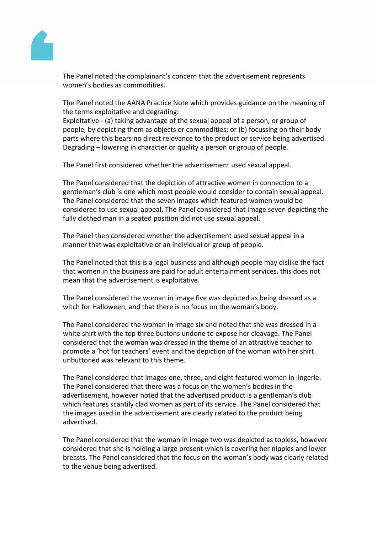

The Panel noted the complainant's concern that the advertisement represents women's bodies as commodities.

The Panel noted the AANA Practice Note which provides guidance on the meaning of the terms exploitative and degrading:

Exploitative - (a) taking advantage of the sexual appeal of a person, or group of people, by depicting them as objects or commodities; or (b) focussing on their body parts where this bears no direct relevance to the product or service being advertised. Degrading – lowering in character or quality a person or group of people.

The Panel first considered whether the advertisement used sexual appeal.

The Panel considered that the depiction of attractive women in connection to a gentleman's club is one which most people would consider to contain sexual appeal. The Panel considered that the seven images which featured women would be considered to use sexual appeal. The Panel considered that image seven depicting the fully clothed man in a seated position did not use sexual appeal.

The Panel then considered whether the advertisement used sexual appeal in a manner that was exploitative of an individual or group of people.

The Panel noted that this is a legal business and although people may dislike the fact that women in the business are paid for adult entertainment services, this does not mean that the advertisement is exploitative.

The Panel considered the woman in image five was depicted as being dressed as a witch for Halloween, and that there is no focus on the woman's body.

The Panel considered the woman in image six and noted that she was dressed in a white shirt with the top three buttons undone to expose her cleavage. The Panel considered that the woman was dressed in the theme of an attractive teacher to promote a 'hot for teachers' event and the depiction of the woman with her shirt unbuttoned was relevant to this theme.

The Panel considered that images one, three, and eight featured women in lingerie. The Panel considered that there was a focus on the women's bodies in the advertisement, however noted that the advertised product is a gentleman's club which features scantily clad women as part of its service. The Panel considered that the images used in the advertisement are clearly related to the product being advertised.

The Panel considered that the woman in image two was depicted as topless, however considered that she is holding a large present which is covering her nipples and lower breasts. The Panel considered that the focus on the woman's body was clearly related to the venue being advertised.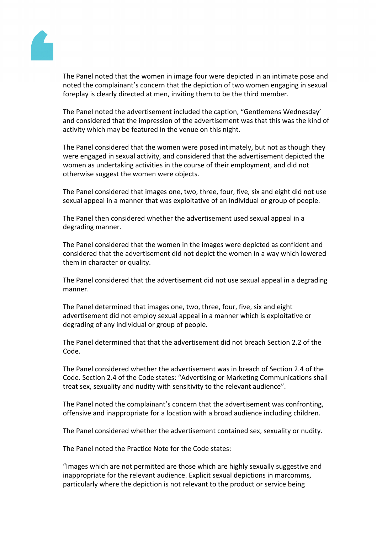

The Panel noted that the women in image four were depicted in an intimate pose and noted the complainant's concern that the depiction of two women engaging in sexual foreplay is clearly directed at men, inviting them to be the third member.

The Panel noted the advertisement included the caption, "Gentlemens Wednesday' and considered that the impression of the advertisement was that this was the kind of activity which may be featured in the venue on this night.

The Panel considered that the women were posed intimately, but not as though they were engaged in sexual activity, and considered that the advertisement depicted the women as undertaking activities in the course of their employment, and did not otherwise suggest the women were objects.

The Panel considered that images one, two, three, four, five, six and eight did not use sexual appeal in a manner that was exploitative of an individual or group of people.

The Panel then considered whether the advertisement used sexual appeal in a degrading manner.

The Panel considered that the women in the images were depicted as confident and considered that the advertisement did not depict the women in a way which lowered them in character or quality.

The Panel considered that the advertisement did not use sexual appeal in a degrading manner.

The Panel determined that images one, two, three, four, five, six and eight advertisement did not employ sexual appeal in a manner which is exploitative or degrading of any individual or group of people.

The Panel determined that that the advertisement did not breach Section 2.2 of the Code.

The Panel considered whether the advertisement was in breach of Section 2.4 of the Code. Section 2.4 of the Code states: "Advertising or Marketing Communications shall treat sex, sexuality and nudity with sensitivity to the relevant audience".

The Panel noted the complainant's concern that the advertisement was confronting, offensive and inappropriate for a location with a broad audience including children.

The Panel considered whether the advertisement contained sex, sexuality or nudity.

The Panel noted the Practice Note for the Code states:

"Images which are not permitted are those which are highly sexually suggestive and inappropriate for the relevant audience. Explicit sexual depictions in marcomms, particularly where the depiction is not relevant to the product or service being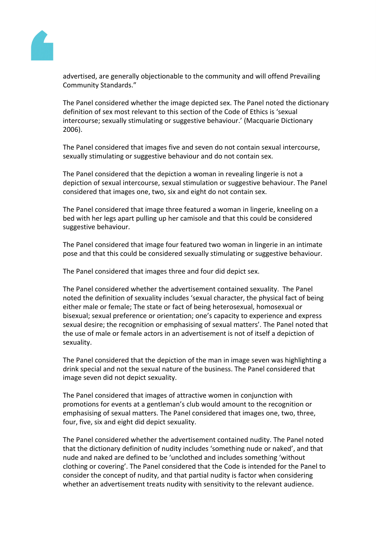

advertised, are generally objectionable to the community and will offend Prevailing Community Standards."

The Panel considered whether the image depicted sex. The Panel noted the dictionary definition of sex most relevant to this section of the Code of Ethics is 'sexual intercourse; sexually stimulating or suggestive behaviour.' (Macquarie Dictionary 2006).

The Panel considered that images five and seven do not contain sexual intercourse, sexually stimulating or suggestive behaviour and do not contain sex.

The Panel considered that the depiction a woman in revealing lingerie is not a depiction of sexual intercourse, sexual stimulation or suggestive behaviour. The Panel considered that images one, two, six and eight do not contain sex.

The Panel considered that image three featured a woman in lingerie, kneeling on a bed with her legs apart pulling up her camisole and that this could be considered suggestive behaviour.

The Panel considered that image four featured two woman in lingerie in an intimate pose and that this could be considered sexually stimulating or suggestive behaviour.

The Panel considered that images three and four did depict sex.

The Panel considered whether the advertisement contained sexuality. The Panel noted the definition of sexuality includes 'sexual character, the physical fact of being either male or female; The state or fact of being heterosexual, homosexual or bisexual; sexual preference or orientation; one's capacity to experience and express sexual desire; the recognition or emphasising of sexual matters'. The Panel noted that the use of male or female actors in an advertisement is not of itself a depiction of sexuality.

The Panel considered that the depiction of the man in image seven was highlighting a drink special and not the sexual nature of the business. The Panel considered that image seven did not depict sexuality.

The Panel considered that images of attractive women in conjunction with promotions for events at a gentleman's club would amount to the recognition or emphasising of sexual matters. The Panel considered that images one, two, three, four, five, six and eight did depict sexuality.

The Panel considered whether the advertisement contained nudity. The Panel noted that the dictionary definition of nudity includes 'something nude or naked', and that nude and naked are defined to be 'unclothed and includes something 'without clothing or covering'. The Panel considered that the Code is intended for the Panel to consider the concept of nudity, and that partial nudity is factor when considering whether an advertisement treats nudity with sensitivity to the relevant audience.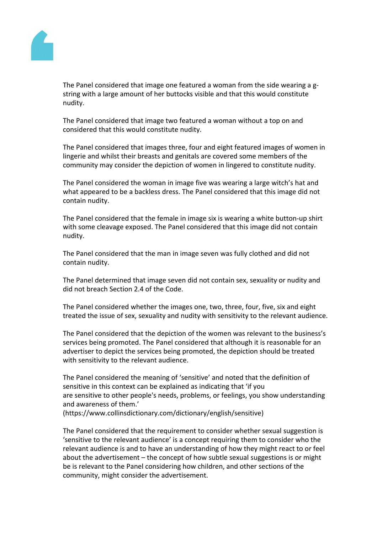

The Panel considered that image one featured a woman from the side wearing a gstring with a large amount of her buttocks visible and that this would constitute nudity.

The Panel considered that image two featured a woman without a top on and considered that this would constitute nudity.

The Panel considered that images three, four and eight featured images of women in lingerie and whilst their breasts and genitals are covered some members of the community may consider the depiction of women in lingered to constitute nudity.

The Panel considered the woman in image five was wearing a large witch's hat and what appeared to be a backless dress. The Panel considered that this image did not contain nudity.

The Panel considered that the female in image six is wearing a white button-up shirt with some cleavage exposed. The Panel considered that this image did not contain nudity.

The Panel considered that the man in image seven was fully clothed and did not contain nudity.

The Panel determined that image seven did not contain sex, sexuality or nudity and did not breach Section 2.4 of the Code.

The Panel considered whether the images one, two, three, four, five, six and eight treated the issue of sex, sexuality and nudity with sensitivity to the relevant audience.

The Panel considered that the depiction of the women was relevant to the business's services being promoted. The Panel considered that although it is reasonable for an advertiser to depict the services being promoted, the depiction should be treated with sensitivity to the relevant audience.

The Panel considered the meaning of 'sensitive' and noted that the definition of sensitive in this context can be explained as indicating that 'if you are sensitive to other people's needs, problems, or feelings, you show understanding and awareness of them.'

(https://www.collinsdictionary.com/dictionary/english/sensitive)

The Panel considered that the requirement to consider whether sexual suggestion is 'sensitive to the relevant audience' is a concept requiring them to consider who the relevant audience is and to have an understanding of how they might react to or feel about the advertisement – the concept of how subtle sexual suggestions is or might be is relevant to the Panel considering how children, and other sections of the community, might consider the advertisement.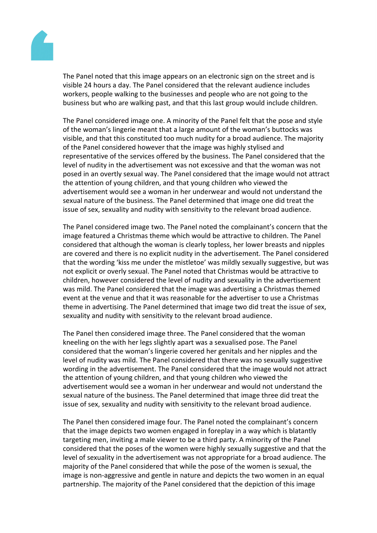

The Panel noted that this image appears on an electronic sign on the street and is visible 24 hours a day. The Panel considered that the relevant audience includes workers, people walking to the businesses and people who are not going to the business but who are walking past, and that this last group would include children.

The Panel considered image one. A minority of the Panel felt that the pose and style of the woman's lingerie meant that a large amount of the woman's buttocks was visible, and that this constituted too much nudity for a broad audience. The majority of the Panel considered however that the image was highly stylised and representative of the services offered by the business. The Panel considered that the level of nudity in the advertisement was not excessive and that the woman was not posed in an overtly sexual way. The Panel considered that the image would not attract the attention of young children, and that young children who viewed the advertisement would see a woman in her underwear and would not understand the sexual nature of the business. The Panel determined that image one did treat the issue of sex, sexuality and nudity with sensitivity to the relevant broad audience.

The Panel considered image two. The Panel noted the complainant's concern that the image featured a Christmas theme which would be attractive to children. The Panel considered that although the woman is clearly topless, her lower breasts and nipples are covered and there is no explicit nudity in the advertisement. The Panel considered that the wording 'kiss me under the mistletoe' was mildly sexually suggestive, but was not explicit or overly sexual. The Panel noted that Christmas would be attractive to children, however considered the level of nudity and sexuality in the advertisement was mild. The Panel considered that the image was advertising a Christmas themed event at the venue and that it was reasonable for the advertiser to use a Christmas theme in advertising. The Panel determined that image two did treat the issue of sex, sexuality and nudity with sensitivity to the relevant broad audience.

The Panel then considered image three. The Panel considered that the woman kneeling on the with her legs slightly apart was a sexualised pose. The Panel considered that the woman's lingerie covered her genitals and her nipples and the level of nudity was mild. The Panel considered that there was no sexually suggestive wording in the advertisement. The Panel considered that the image would not attract the attention of young children, and that young children who viewed the advertisement would see a woman in her underwear and would not understand the sexual nature of the business. The Panel determined that image three did treat the issue of sex, sexuality and nudity with sensitivity to the relevant broad audience.

The Panel then considered image four. The Panel noted the complainant's concern that the image depicts two women engaged in foreplay in a way which is blatantly targeting men, inviting a male viewer to be a third party. A minority of the Panel considered that the poses of the women were highly sexually suggestive and that the level of sexuality in the advertisement was not appropriate for a broad audience. The majority of the Panel considered that while the pose of the women is sexual, the image is non-aggressive and gentle in nature and depicts the two women in an equal partnership. The majority of the Panel considered that the depiction of this image